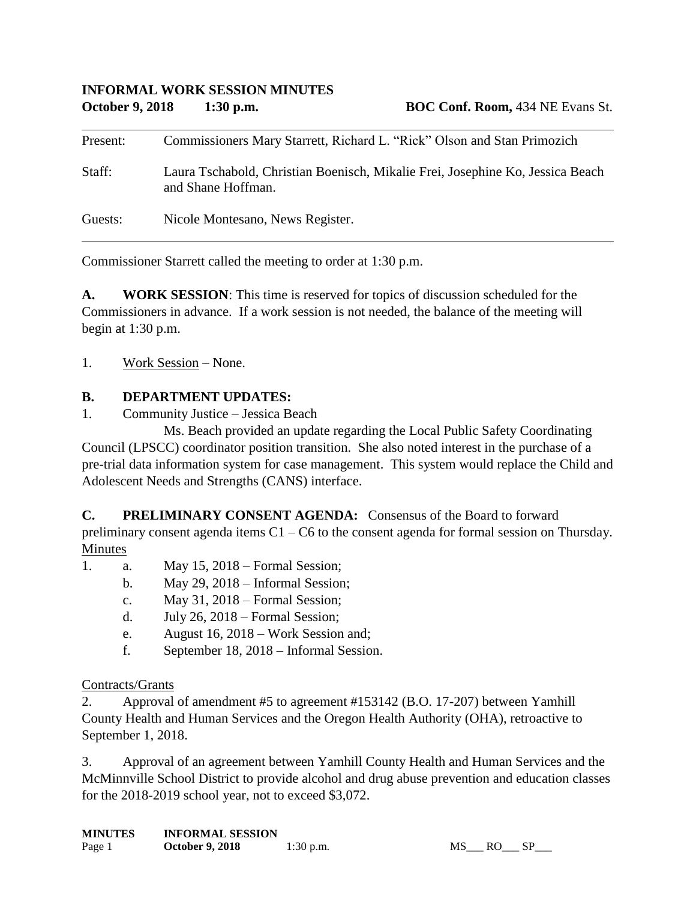| Present: | Commissioners Mary Starrett, Richard L. "Rick" Olson and Stan Primozich                              |
|----------|------------------------------------------------------------------------------------------------------|
| Staff:   | Laura Tschabold, Christian Boenisch, Mikalie Frei, Josephine Ko, Jessica Beach<br>and Shane Hoffman. |
| Guests:  | Nicole Montesano, News Register.                                                                     |

Commissioner Starrett called the meeting to order at 1:30 p.m.

**A. WORK SESSION**: This time is reserved for topics of discussion scheduled for the Commissioners in advance. If a work session is not needed, the balance of the meeting will begin at 1:30 p.m.

1. Work Session – None.

## **B. DEPARTMENT UPDATES:**

1. Community Justice – Jessica Beach

Ms. Beach provided an update regarding the Local Public Safety Coordinating Council (LPSCC) coordinator position transition. She also noted interest in the purchase of a pre-trial data information system for case management. This system would replace the Child and Adolescent Needs and Strengths (CANS) interface.

**C. PRELIMINARY CONSENT AGENDA:** Consensus of the Board to forward preliminary consent agenda items C1 – C6 to the consent agenda for formal session on Thursday. Minutes

- 1. a. May 15, 2018 Formal Session;
	- b. May 29, 2018 Informal Session;
	- c. May 31, 2018 Formal Session;
	- d. July 26, 2018 Formal Session;
	- e. August 16, 2018 Work Session and;
	- f. September 18, 2018 Informal Session.

#### Contracts/Grants

2. Approval of amendment #5 to agreement #153142 (B.O. 17-207) between Yamhill County Health and Human Services and the Oregon Health Authority (OHA), retroactive to September 1, 2018.

3. Approval of an agreement between Yamhill County Health and Human Services and the McMinnville School District to provide alcohol and drug abuse prevention and education classes for the 2018-2019 school year, not to exceed \$3,072.